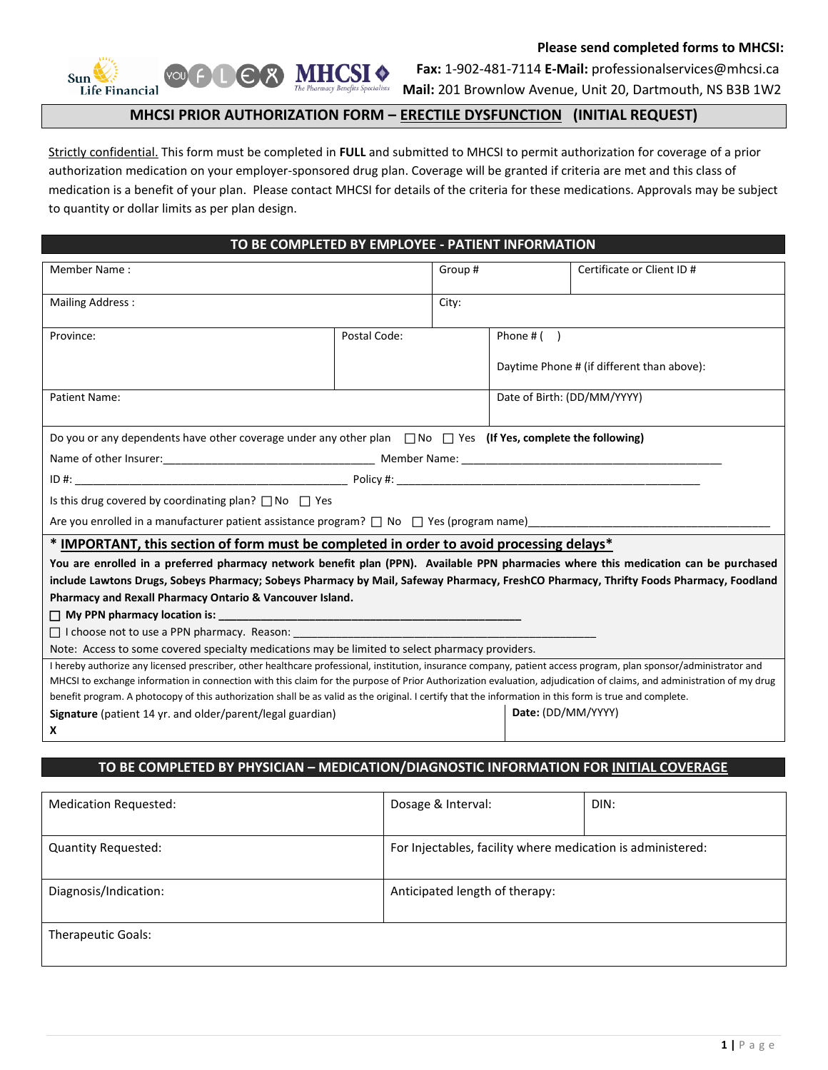

L

 **Please send completed forms to MHCSI:** 

 **Fax:** 1-902-481-7114 **E-Mail:** professionalservices@mhcsi.ca

**Mail:** 201 Brownlow Avenue, Unit 20, Dartmouth, NS B3B 1W2

## **MHCSI PRIOR AUTHORIZATION FORM – ERECTILE DYSFUNCTION (INITIAL REQUEST)**

Strictly confidential. This form must be completed in **FULL** and submitted to MHCSI to permit authorization for coverage of a prior authorization medication on your employer-sponsored drug plan. Coverage will be granted if criteria are met and this class of medication is a benefit of your plan. Please contact MHCSI for details of the criteria for these medications. Approvals may be subject to quantity or dollar limits as per plan design.

| TO BE COMPLETED BY EMPLOYEE - PATIENT INFORMATION |  |
|---------------------------------------------------|--|
|                                                   |  |

| Member Name:                                                                                                                                                         |              | Group# |                             | Certificate or Client ID #                 |
|----------------------------------------------------------------------------------------------------------------------------------------------------------------------|--------------|--------|-----------------------------|--------------------------------------------|
|                                                                                                                                                                      |              |        |                             |                                            |
| <b>Mailing Address:</b>                                                                                                                                              |              | City:  |                             |                                            |
|                                                                                                                                                                      |              |        |                             |                                            |
| Province:                                                                                                                                                            | Postal Code: |        | Phone $#( )$                |                                            |
|                                                                                                                                                                      |              |        |                             | Daytime Phone # (if different than above): |
|                                                                                                                                                                      |              |        |                             |                                            |
| Patient Name:                                                                                                                                                        |              |        | Date of Birth: (DD/MM/YYYY) |                                            |
|                                                                                                                                                                      |              |        |                             |                                            |
| Do you or any dependents have other coverage under any other plan $\Box$ No $\Box$ Yes (If Yes, complete the following)                                              |              |        |                             |                                            |
|                                                                                                                                                                      |              |        |                             |                                            |
|                                                                                                                                                                      |              |        |                             |                                            |
|                                                                                                                                                                      |              |        |                             |                                            |
| Is this drug covered by coordinating plan? $\Box$ No $\Box$ Yes                                                                                                      |              |        |                             |                                            |
| Are you enrolled in a manufacturer patient assistance program? $\Box$ No $\Box$ Yes (program name)                                                                   |              |        |                             |                                            |
| * IMPORTANT, this section of form must be completed in order to avoid processing delays*                                                                             |              |        |                             |                                            |
| You are enrolled in a preferred pharmacy network benefit plan (PPN). Available PPN pharmacies where this medication can be purchased                                 |              |        |                             |                                            |
| include Lawtons Drugs, Sobeys Pharmacy; Sobeys Pharmacy by Mail, Safeway Pharmacy, FreshCO Pharmacy, Thrifty Foods Pharmacy, Foodland                                |              |        |                             |                                            |
| Pharmacy and Rexall Pharmacy Ontario & Vancouver Island.                                                                                                             |              |        |                             |                                            |
|                                                                                                                                                                      |              |        |                             |                                            |
| $\Box$ I choose not to use a PPN pharmacy. Reason: $\Box$                                                                                                            |              |        |                             |                                            |
| Note: Access to some covered specialty medications may be limited to select pharmacy providers.                                                                      |              |        |                             |                                            |
| I hereby authorize any licensed prescriber, other healthcare professional, institution, insurance company, patient access program, plan sponsor/administrator and    |              |        |                             |                                            |
| MHCSI to exchange information in connection with this claim for the purpose of Prior Authorization evaluation, adjudication of claims, and administration of my drug |              |        |                             |                                            |
| benefit program. A photocopy of this authorization shall be as valid as the original. I certify that the information in this form is true and complete.              |              |        |                             |                                            |
| Signature (patient 14 yr. and older/parent/legal guardian)                                                                                                           |              |        | Date: (DD/MM/YYYY)          |                                            |
| X                                                                                                                                                                    |              |        |                             |                                            |

## **TO BE COMPLETED BY PHYSICIAN – MEDICATION/DIAGNOSTIC INFORMATION FOR INITIAL COVERAGE**

| Medication Requested:      | Dosage & Interval:                                          | DIN: |
|----------------------------|-------------------------------------------------------------|------|
| <b>Quantity Requested:</b> | For Injectables, facility where medication is administered: |      |
|                            |                                                             |      |
| Diagnosis/Indication:      | Anticipated length of therapy:                              |      |
|                            |                                                             |      |
| Therapeutic Goals:         |                                                             |      |
|                            |                                                             |      |